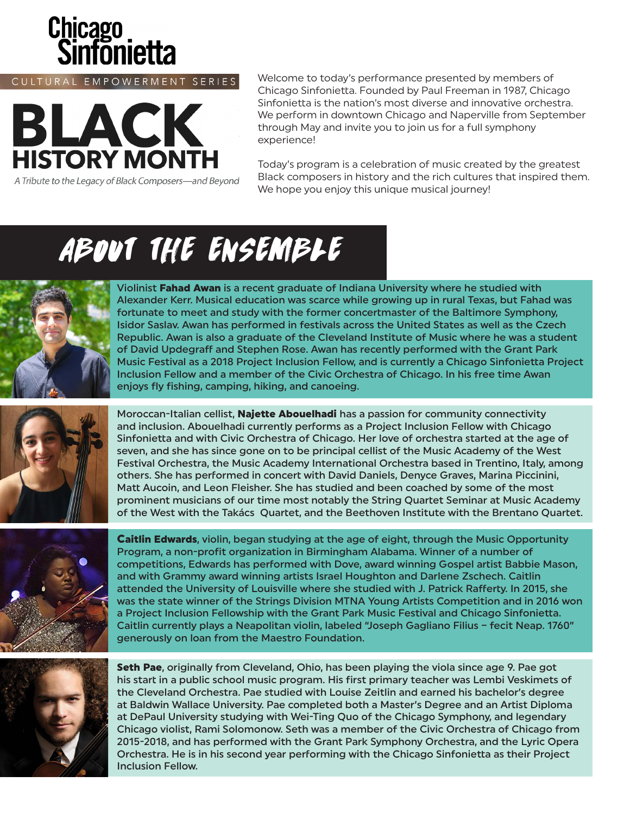

CULTURAL EMPOWERMENT SERIES



A Tribute to the Legacy of Black Composers-and Beyond

Welcome to today's performance presented by members of Chicago Sinfonietta. Founded by Paul Freeman in 1987, Chicago Sinfonietta is the nation's most diverse and innovative orchestra. We perform in downtown Chicago and Naperville from September through May and invite you to join us for a full symphony experience!

Today's program is a celebration of music created by the greatest Black composers in history and the rich cultures that inspired them. We hope you enjoy this unique musical journey!

# ABOUT THE ENSEMBLE



Violinist Fahad Awan is a recent graduate of Indiana University where he studied with Alexander Kerr. Musical education was scarce while growing up in rural Texas, but Fahad was fortunate to meet and study with the former concertmaster of the Baltimore Symphony, Isidor Saslav. Awan has performed in festivals across the United States as well as the Czech Republic. Awan is also a graduate of the Cleveland Institute of Music where he was a student of David Updegraff and Stephen Rose. Awan has recently performed with the Grant Park Music Festival as a 2018 Project Inclusion Fellow, and is currently a Chicago Sinfonietta Project Inclusion Fellow and a member of the Civic Orchestra of Chicago. In his free time Awan enjoys fly fishing, camping, hiking, and canoeing.



Moroccan-Italian cellist, **Najette Abouelhadi** has a passion for community connectivity and inclusion. Abouelhadi currently performs as a Project Inclusion Fellow with Chicago Sinfonietta and with Civic Orchestra of Chicago. Her love of orchestra started at the age of seven, and she has since gone on to be principal cellist of the Music Academy of the West Festival Orchestra, the Music Academy International Orchestra based in Trentino, Italy, among others. She has performed in concert with David Daniels, Denyce Graves, Marina Piccinini, Matt Aucoin, and Leon Fleisher. She has studied and been coached by some of the most prominent musicians of our time most notably the String Quartet Seminar at Music Academy of the West with the Takács Quartet, and the Beethoven Institute with the Brentano Quartet.



**Caitlin Edwards, violin, began studying at the age of eight, through the Music Opportunity** Program, a non-profit organization in Birmingham Alabama. Winner of a number of competitions, Edwards has performed with Dove, award winning Gospel artist Babbie Mason, and with Grammy award winning artists Israel Houghton and Darlene Zschech. Caitlin attended the University of Louisville where she studied with J. Patrick Rafferty. In 2015, she was the state winner of the Strings Division MTNA Young Artists Competition and in 2016 won a Project Inclusion Fellowship with the Grant Park Music Festival and Chicago Sinfonietta. Caitlin currently plays a Neapolitan violin, labeled "Joseph Gagliano Filius – fecit Neap. 1760" generously on loan from the Maestro Foundation.



Seth Pae, originally from Cleveland, Ohio, has been playing the viola since age 9. Pae got his start in a public school music program. His first primary teacher was Lembi Veskimets of the Cleveland Orchestra. Pae studied with Louise Zeitlin and earned his bachelor's degree at Baldwin Wallace University. Pae completed both a Master's Degree and an Artist Diploma at DePaul University studying with Wei-Ting Quo of the Chicago Symphony, and legendary Chicago violist, Rami Solomonow. Seth was a member of the Civic Orchestra of Chicago from 2015-2018, and has performed with the Grant Park Symphony Orchestra, and the Lyric Opera Orchestra. He is in his second year performing with the Chicago Sinfonietta as their Project Inclusion Fellow.